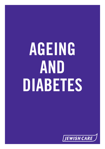# **AGEING AND DIABETES**

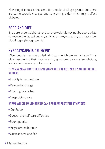Managing diabetes is the same for people of all age groups but there are some specific changes due to growing older which might affect diabetes.

# **FOOD AND DIET**

If you are underweight rather than overweight it may not be appropriate to reduce the fat, salt and sugar. Poor or irregular eating can cause low blood sugar (hypoglycaemia).

# **HYPOGLYCAEMIA OR 'HYPO'**

Older people may have added risk factors which can lead to hypo.Many older people find their hypo warning symptoms become less obvious, and some have no symptoms at all.

#### **THIS MAY MEAN THAT THE FIRST SIGNS ARE NOT NOTICED BY AN INDIVIDUAL, SUCH AS:**

- Inability to concentrate
- Personality change
- Morning headaches
- **Sleep disturbance**

## **HYPOS WHICH GO UNNOTICED CAN CAUSE UNPLEASANT SYMPTOMS:**

- $C$ onfusion
- Speech and self-care difficulties
- Poor appetite
- **Aggressive behaviour**
- **I**l Insteadiness and falls
- **2** | Ageing and diabetes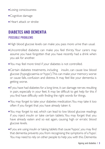- **Losing consciousness**
- Cognitive damage
- **Heart attack or stroke**

## **DIABETES AND DEMENTIA POSSIBLE PROBLEMS**

- High blood glucose levels can make you pass more urine than usual.
- <sup>n</sup> Uncontrolled diabetes can make you feel thirsty. Your carers may assume you have forgotten that you have recently had a drink when you ask for another.
- You may feel more tired if your diabetes is not controlled.
- **Certain diabetes treatments, including insulin, can cause low blood** glucose (hypoglycaemia or'hypo').This can make your memory worse or cause falls, confusion and distress. It may feel like your dementia is getting worse.
- **If** you have had diabetes for a long time, it can damage nerves resulting in pain, especially in your feet. It may be difficult to get help for this if you find have difficulty with finding the right words for things.
- <sup>n</sup> You may forget to take your diabetes medication.You may take it too often if you forget that you have already taken it.
- You may forget to eat, which can lead to low blood glucose readings if you inject insulin or take certain tablets.You may forget that you have already eaten and so eat again, causing high or erratic blood glucose levels.
- **If** you are using insulin or taking tablets that cause 'hypos', you may find that dementia prevents you from recognising the symptoms of a 'hypo'. You may need to rely on other people to help you with this. Dementia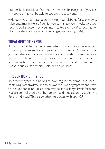can make it difficult to find the right words for things, so if you feel 'hypo', you may not be able to explain this to anyone.

Although you may have been managing your diabetes for a long time, dementia may make it difficult for you to manage your medication,take your blood glucose, inject your insulin safely, and may affect your ability to make decisions about your blood glucose readings safely.

## **TREATMENT OF HYPOS**

A hypo should be treated immediately in a conscious person with fast-acting glucose, such as a sugary (non-hot, non-milky) drink or some glucose tablets and followed up with something starchy like biscuits, a sandwich or the next meal. A personal hypo box with hypo treatments and instructions for treatment can be kept at hand. If someone is unconscious, call for medical help or an ambulance.

# **PREVENTION OF HYPOS**

To prevent hypos, it is helpful to have regular mealtimes and snacks containing carbohydrate and to be aware of hypo symptoms and what to look out for in individuals who may be at risk.Target levels for blood glucose control should not be too tight and medication must be right for the individual.This is something to discuss with your GP.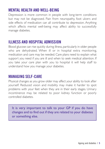## **MENTAL HEALTH AND WELL-BEING**

Depression is more common in people with long-term conditions but may not be diagnosed. Pain from neuropathy, foot ulcers and side effects of medication can all contribute to depression. Anything which affects mental well-being may affect ability to successfully manage diabetes.

## **ILLNESS AND HOSPITAL ADMISSION**

Blood glucose can rise quickly during illness, particularly in older people who are dehydrated. When ill or in hospital extra monitoring, medication and care may be needed. Care plans need to explain what support you need if you are ill and when to seek medical attention. If you take your care plan with you to hospital it will help staff to understand how you manage your diabetes.

## **MANAGING SELF-CARE**

Physical changes as you grow older may affect your ability to look after yourself. Reduced vision and mobility may make it harder to spot problems with your feet when they are in their early stages. Urinary incontinence may be related to poor kidney function or poorly controlled diabetes.

It is very important to talk to your GP if you do have changes and to find out if they are related to your diabetes or something else.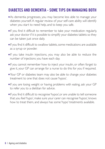## **DIABETES AND DEMENTIA - SOME TIPS ON MANAGING BOTH**

- As dementia progresses, you may become less able to manage your diabetes yourself.A regular review of your self-care ability will identify when you start to need help, and to keep you safe.
- <sup>n</sup> If you find it difficult to remember to take your medication regularly, ask your doctor if it is possible to simplify your diabetes tablets so they can be taken just once daily.
- **If you find it difficult to swallow tablets, some medications are available** as a syrup or powder.
- <sup>n</sup> If you take insulin injections, you may also be able to reduce the number of injections you have each day.
- If you cannot remember how to inject your insulin, or often forget to give it, your GP can arrange for a nurse to do this for you if required.
- <sup>n</sup> Your GP or diabetes team may also be able to change your diabetes treatment to one that does not cause 'hypos'.
- **If** you are losing weight or having problems with eating, ask your GP to refer you to a dietitian for advice.
- <sup>n</sup> If you find it difficult to recognise 'hypos',or are unable to tell someone that you feel 'hypo', make sure your carer can recognise 'hypos', knows how to treat them, and always has some 'hypo' treatments available.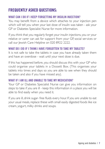# **FREQUENTLY ASKED QUESTIONS:**

#### **WHAT CAN I DO IF I KEEP FORGETTING MY INSULIN INJECTION?**

You may benefit from a device which attaches to your injection pen which will tell you when your last dose of insulin was taken - ask your GP or Diabetes Specialist Nurse for more information.

If you think that you regularly forget your insulin injections, you or your relative or carer can ask for support from your GP, social services or call our lewish Care Helpline on 020 8922 2222.

#### **WHAT DO I DO IF I THINK I HAVE FORGOTTEN TO TAKE MY TABLETS?**

It is not safe to take the tablets in case you have already taken them and have an overdose - wait until your next dose is due.

If this has happened before, you should discuss this with your GP who could organise your tablets in a Dossett Box. (This organises your tablets into times and days so you are able to see when they should be taken and also if you have missed any).

#### **WHAT IF I AM ILL AND UNABLE TO TAKE MY MEDICATION?**

Your GP or Diabetes Specialist Nurse can give you information on steps to take if you are ill - keep this information in a place you will be able to find easily when you need it.

If you are ill, drink sugar- free fluids every hour. If you are unable to eat your usual meals, replace these with small easily digested foods like ice cream, yogurt, milky drinks and soups.